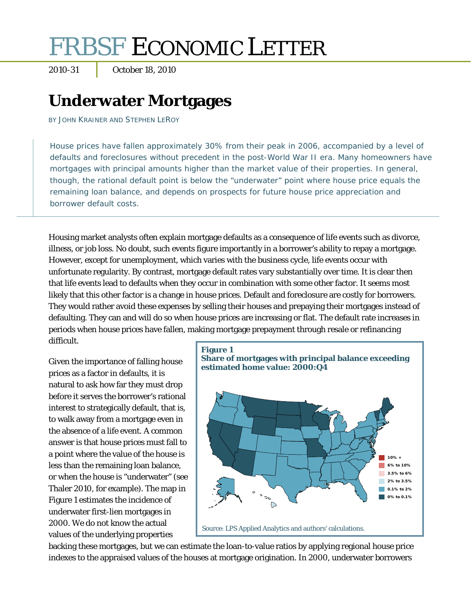# FRBSF ECONOMIC LETTER

2010-31 October 18, 2010

# **Underwater Mortgages**

BY JOHN KRAINER AND STEPHEN LEROY

House prices have fallen approximately 30% from their peak in 2006, accompanied by a level of defaults and foreclosures without precedent in the post-World War II era. Many homeowners have mortgages with principal amounts higher than the market value of their properties. In general, though, the rational default point is below the "underwater" point where house price equals the remaining loan balance, and depends on prospects for future house price appreciation and borrower default costs.

Housing market analysts often explain mortgage defaults as a consequence of life events such as divorce, illness, or job loss. No doubt, such events figure importantly in a borrower's ability to repay a mortgage. However, except for unemployment, which varies with the business cycle, life events occur with unfortunate regularity. By contrast, mortgage default rates vary substantially over time. It is clear then that life events lead to defaults when they occur in combination with some other factor. It seems most likely that this other factor is a change in house prices. Default and foreclosure are costly for borrowers. They would rather avoid these expenses by selling their houses and prepaying their mortgages instead of defaulting. They can and will do so when house prices are increasing or flat. The default rate increases in periods when house prices have fallen, making mortgage prepayment through resale or refinancing difficult.

Given the importance of falling house prices as a factor in defaults, it is natural to ask how far they must drop before it serves the borrower's rational interest to strategically default, that is, to walk away from a mortgage even in the absence of a life event. A common answer is that house prices must fall to a point where the value of the house is less than the remaining loan balance, or when the house is "underwater" (see Thaler 2010, for example). The map in Figure 1 estimates the incidence of underwater first-lien mortgages in 2000. We do not know the actual values of the underlying properties



backing these mortgages, but we can estimate the loan-to-value ratios by applying regional house price indexes to the appraised values of the houses at mortgage origination. In 2000, underwater borrowers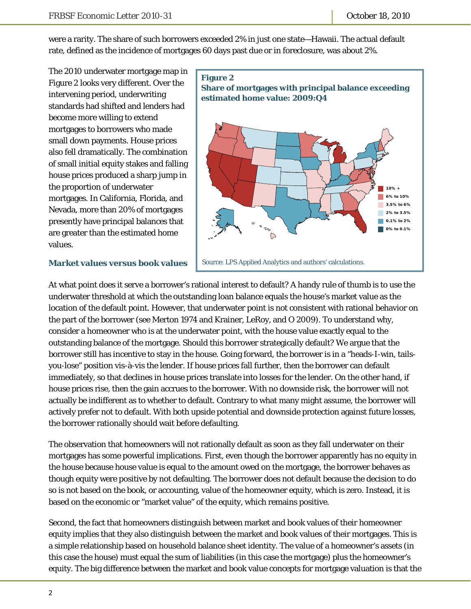were a rarity. The share of such borrowers exceeded 2% in just one state—Hawaii. The actual default rate, defined as the incidence of mortgages 60 days past due or in foreclosure, was about 2%.

The 2010 underwater mortgage map in Figure 2 looks very different. Over the intervening period, underwriting standards had shifted and lenders had become more willing to extend mortgages to borrowers who made small down payments. House prices also fell dramatically. The combination of small initial equity stakes and falling house prices produced a sharp jump in the proportion of underwater mortgages. In California, Florida, and Nevada, more than 20% of mortgages presently have principal balances that are greater than the estimated home values.



#### **Market values versus book values**

At what point does it serve a borrower's rational interest to default? A handy rule of thumb is to use the underwater threshold at which the outstanding loan balance equals the house's market value as the location of the default point. However, that underwater point is not consistent with rational behavior on the part of the borrower (see Merton 1974 and Krainer, LeRoy, and O 2009). To understand why, consider a homeowner who is at the underwater point, with the house value exactly equal to the outstanding balance of the mortgage. Should this borrower strategically default? We argue that the borrower still has incentive to stay in the house. Going forward, the borrower is in a "heads-I-win, tailsyou-lose" position vis-à-vis the lender. If house prices fall further, then the borrower can default immediately, so that declines in house prices translate into losses for the lender. On the other hand, if house prices rise, then the gain accrues to the borrower. With no downside risk, the borrower will not actually be indifferent as to whether to default. Contrary to what many might assume, the borrower will actively prefer not to default. With both upside potential and downside protection against future losses, the borrower rationally should wait before defaulting.

The observation that homeowners will not rationally default as soon as they fall underwater on their mortgages has some powerful implications. First, even though the borrower apparently has no equity in the house because house value is equal to the amount owed on the mortgage, the borrower behaves as though equity were positive by not defaulting. The borrower does not default because the decision to do so is not based on the book, or accounting, value of the homeowner equity, which is zero. Instead, it is based on the economic or "market value" of the equity, which remains positive.

Second, the fact that homeowners distinguish between market and book values of their homeowner equity implies that they also distinguish between the market and book values of their mortgages. This is a simple relationship based on household balance sheet identity. The value of a homeowner's assets (in this case the house) must equal the sum of liabilities (in this case the mortgage) plus the homeowner's equity. The big difference between the market and book value concepts for mortgage valuation is that the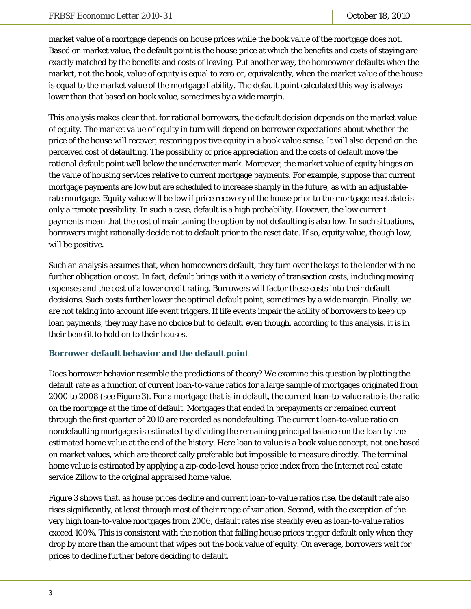market value of a mortgage depends on house prices while the book value of the mortgage does not. Based on market value, the default point is the house price at which the benefits and costs of staying are exactly matched by the benefits and costs of leaving. Put another way, the homeowner defaults when the market, not the book, value of equity is equal to zero or, equivalently, when the market value of the house is equal to the market value of the mortgage liability. The default point calculated this way is always lower than that based on book value, sometimes by a wide margin.

This analysis makes clear that, for rational borrowers, the default decision depends on the market value of equity. The market value of equity in turn will depend on borrower expectations about whether the price of the house will recover, restoring positive equity in a book value sense. It will also depend on the perceived cost of defaulting. The possibility of price appreciation and the costs of default move the rational default point well below the underwater mark. Moreover, the market value of equity hinges on the value of housing services relative to current mortgage payments. For example, suppose that current mortgage payments are low but are scheduled to increase sharply in the future, as with an adjustablerate mortgage. Equity value will be low if price recovery of the house prior to the mortgage reset date is only a remote possibility. In such a case, default is a high probability. However, the low current payments mean that the cost of maintaining the option by not defaulting is also low. In such situations, borrowers might rationally decide not to default prior to the reset date. If so, equity value, though low, will be positive.

Such an analysis assumes that, when homeowners default, they turn over the keys to the lender with no further obligation or cost. In fact, default brings with it a variety of transaction costs, including moving expenses and the cost of a lower credit rating. Borrowers will factor these costs into their default decisions. Such costs further lower the optimal default point, sometimes by a wide margin. Finally, we are not taking into account life event triggers. If life events impair the ability of borrowers to keep up loan payments, they may have no choice but to default, even though, according to this analysis, it is in their benefit to hold on to their houses.

### **Borrower default behavior and the default point**

Does borrower behavior resemble the predictions of theory? We examine this question by plotting the default rate as a function of current loan-to-value ratios for a large sample of mortgages originated from 2000 to 2008 (see Figure 3). For a mortgage that is in default, the current loan-to-value ratio is the ratio on the mortgage at the time of default. Mortgages that ended in prepayments or remained current through the first quarter of 2010 are recorded as nondefaulting. The current loan-to-value ratio on nondefaulting mortgages is estimated by dividing the remaining principal balance on the loan by the estimated home value at the end of the history. Here loan to value is a book value concept, not one based on market values, which are theoretically preferable but impossible to measure directly. The terminal home value is estimated by applying a zip-code-level house price index from the Internet real estate service Zillow to the original appraised home value.

Figure 3 shows that, as house prices decline and current loan-to-value ratios rise, the default rate also rises significantly, at least through most of their range of variation. Second, with the exception of the very high loan-to-value mortgages from 2006, default rates rise steadily even as loan-to-value ratios exceed 100%. This is consistent with the notion that falling house prices trigger default only when they drop by more than the amount that wipes out the book value of equity. On average, borrowers wait for prices to decline further before deciding to default.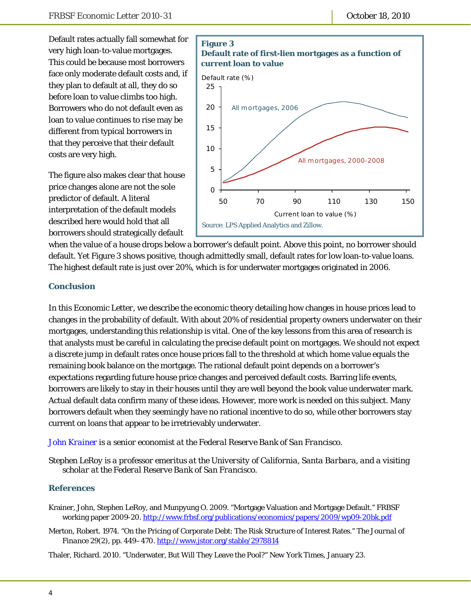Default rates actually fall somewhat for very high loan-to-value mortgages. This could be because most borrowers face only moderate default costs and, if they plan to default at all, they do so before loan to value climbs too high. Borrowers who do not default even as loan to value continues to rise may be different from typical borrowers in that they perceive that their default costs are very high.

The figure also makes clear that house price changes alone are not the sole predictor of default. A literal interpretation of the default models described here would hold that all borrowers should strategically default



when the value of a house drops below a borrower's default point. Above this point, no borrower should default. Yet Figure 3 shows positive, though admittedly small, default rates for low loan-to-value loans. The highest default rate is just over 20%, which is for underwater mortgages originated in 2006.

#### **Conclusion**

In this *Economic Letter*, we describe the economic theory detailing how changes in house prices lead to changes in the probability of default. With about 20% of residential property owners underwater on their mortgages, understanding this relationship is vital. One of the key lessons from this area of research is that analysts must be careful in calculating the precise default point on mortgages. We should not expect a discrete jump in default rates once house prices fall to the threshold at which home value equals the remaining book balance on the mortgage. The rational default point depends on a borrower's expectations regarding future house price changes and perceived default costs. Barring life events, borrowers are likely to stay in their houses until they are well beyond the book value underwater mark. Actual default data confirm many of these ideas. However, more work is needed on this subject. Many borrowers default when they seemingly have no rational incentive to do so, while other borrowers stay current on loans that appear to be irretrievably underwater.

#### *[John Krainer i](http://www.frbsf.org/economics/economists/staff.php?jkrainer)s a senior economist at the Federal Reserve Bank of San Francisco.*

*Stephen LeRoy is a professor emeritus at the University of California, Santa Barbara, and a visiting scholar at the Federal Reserve Bank of San Francisco.* 

#### **References**

- Krainer, John, Stephen LeRoy, and Munpyung O. 2009. "Mortgage Valuation and Mortgage Default." FRBSF working paper 2009-20. http://www.frbsf.org/publications/economics/papers/2009/wp09-20bk.pdf
- Merton, Robert. 1974. "On the Pricing of Corporate Debt: The Risk Structure of Interest Rates." *The Journal of Finance* 29(2), pp. 449–470. http://www.jstor.org/stable/2978814

Thaler, Richard. 2010. "Underwater, But Will They Leave the Pool?" *New York Times*, January 23.